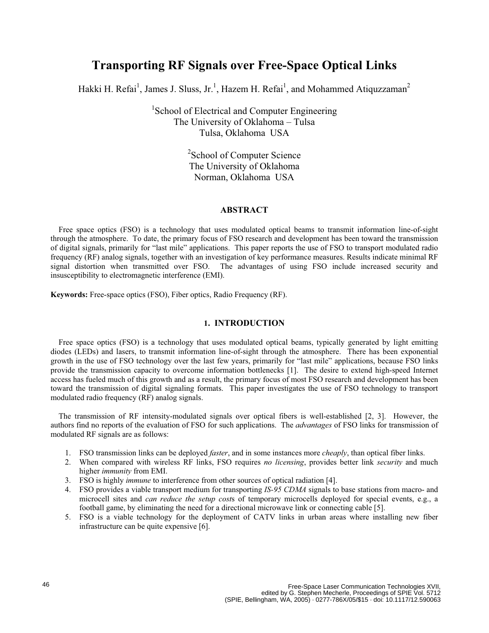# **Transporting RF Signals over Free-Space Optical Links**

Hakki H. Refai<sup>1</sup>, James J. Sluss, Jr.<sup>1</sup>, Hazem H. Refai<sup>1</sup>, and Mohammed Atiquzzaman<sup>2</sup>

<sup>1</sup>School of Electrical and Computer Engineering The University of Oklahoma – Tulsa Tulsa, Oklahoma USA

> <sup>2</sup>School of Computer Science The University of Oklahoma Norman, Oklahoma USA

# **ABSTRACT**

Free space optics (FSO) is a technology that uses modulated optical beams to transmit information line-of-sight through the atmosphere. To date, the primary focus of FSO research and development has been toward the transmission of digital signals, primarily for "last mile" applications. This paper reports the use of FSO to transport modulated radio frequency (RF) analog signals, together with an investigation of key performance measures. Results indicate minimal RF signal distortion when transmitted over FSO. The advantages of using FSO include increased security and insusceptibility to electromagnetic interference (EMI).

**Keywords:** Free-space optics (FSO), Fiber optics, Radio Frequency (RF).

# **1. INTRODUCTION**

Free space optics (FSO) is a technology that uses modulated optical beams, typically generated by light emitting diodes (LEDs) and lasers, to transmit information line-of-sight through the atmosphere. There has been exponential growth in the use of FSO technology over the last few years, primarily for "last mile" applications, because FSO links provide the transmission capacity to overcome information bottlenecks [1]. The desire to extend high-speed Internet access has fueled much of this growth and as a result, the primary focus of most FSO research and development has been toward the transmission of digital signaling formats. This paper investigates the use of FSO technology to transport modulated radio frequency (RF) analog signals.

The transmission of RF intensity-modulated signals over optical fibers is well-established [2, 3]. However, the authors find no reports of the evaluation of FSO for such applications. The *advantages* of FSO links for transmission of modulated RF signals are as follows:

- 1. FSO transmission links can be deployed *faster*, and in some instances more *cheaply*, than optical fiber links.
- 2. When compared with wireless RF links, FSO requires *no licensing*, provides better link *security* and much higher *immunity* from EMI.
- 3. FSO is highly *immune* to interference from other sources of optical radiation [4].
- 4. FSO provides a viable transport medium for transporting *IS-95 CDMA* signals to base stations from macro- and microcell sites and *can reduce the setup cost*s of temporary microcells deployed for special events, e.g., a football game, by eliminating the need for a directional microwave link or connecting cable [5].
- 5. FSO is a viable technology for the deployment of CATV links in urban areas where installing new fiber infrastructure can be quite expensive [6].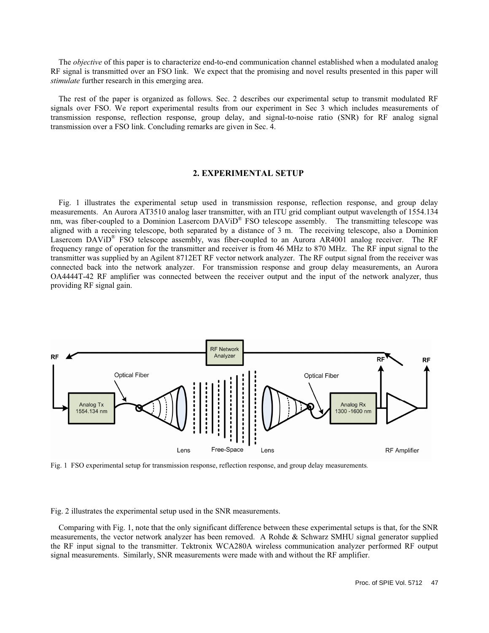The *objective* of this paper is to characterize end-to-end communication channel established when a modulated analog RF signal is transmitted over an FSO link. We expect that the promising and novel results presented in this paper will *stimulate* further research in this emerging area.

The rest of the paper is organized as follows. Sec. 2 describes our experimental setup to transmit modulated RF signals over FSO. We report experimental results from our experiment in Sec 3 which includes measurements of transmission response, reflection response, group delay, and signal-to-noise ratio (SNR) for RF analog signal transmission over a FSO link. Concluding remarks are given in Sec. 4.

# **2. EXPERIMENTAL SETUP**

Fig. 1 illustrates the experimental setup used in transmission response, reflection response, and group delay measurements. An Aurora AT3510 analog laser transmitter, with an ITU grid compliant output wavelength of 1554.134 nm, was fiber-coupled to a Dominion Lasercom  $DAViD^{\otimes}$  FSO telescope assembly. The transmitting telescope was aligned with a receiving telescope, both separated by a distance of 3 m. The receiving telescope, also a Dominion Lasercom DAViD® FSO telescope assembly, was fiber-coupled to an Aurora AR4001 analog receiver. The RF frequency range of operation for the transmitter and receiver is from 46 MHz to 870 MHz. The RF input signal to the transmitter was supplied by an Agilent 8712ET RF vector network analyzer. The RF output signal from the receiver was connected back into the network analyzer. For transmission response and group delay measurements, an Aurora OA4444T-42 RF amplifier was connected between the receiver output and the input of the network analyzer, thus providing RF signal gain.



Fig. 1 FSO experimental setup for transmission response, reflection response, and group delay measurements.

Fig. 2 illustrates the experimental setup used in the SNR measurements.

Comparing with Fig. 1, note that the only significant difference between these experimental setups is that, for the SNR measurements, the vector network analyzer has been removed. A Rohde & Schwarz SMHU signal generator supplied the RF input signal to the transmitter. Tektronix WCA280A wireless communication analyzer performed RF output signal measurements. Similarly, SNR measurements were made with and without the RF amplifier.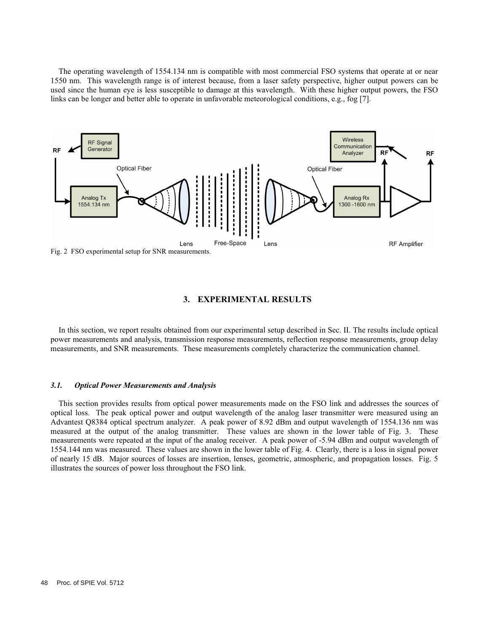The operating wavelength of 1554.134 nm is compatible with most commercial FSO systems that operate at or near 1550 nm. This wavelength range is of interest because, from a laser safety perspective, higher output powers can be used since the human eye is less susceptible to damage at this wavelength. With these higher output powers, the FSO links can be longer and better able to operate in unfavorable meteorological conditions, e.g., fog [7].



# **3. EXPERIMENTAL RESULTS**

In this section, we report results obtained from our experimental setup described in Sec. II. The results include optical power measurements and analysis, transmission response measurements, reflection response measurements, group delay measurements, and SNR measurements. These measurements completely characterize the communication channel.

#### *3.1. Optical Power Measurements and Analysis*

This section provides results from optical power measurements made on the FSO link and addresses the sources of optical loss. The peak optical power and output wavelength of the analog laser transmitter were measured using an Advantest Q8384 optical spectrum analyzer. A peak power of 8.92 dBm and output wavelength of 1554.136 nm was measured at the output of the analog transmitter. These values are shown in the lower table of Fig. 3. These measurements were repeated at the input of the analog receiver. A peak power of -5.94 dBm and output wavelength of 1554.144 nm was measured. These values are shown in the lower table of Fig. 4. Clearly, there is a loss in signal power of nearly 15 dB. Major sources of losses are insertion, lenses, geometric, atmospheric, and propagation losses. Fig. 5 illustrates the sources of power loss throughout the FSO link.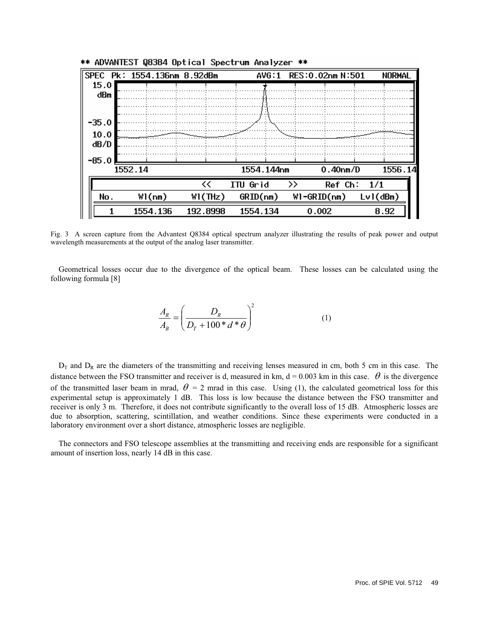| SPEC    | Pk: 1554.136nm 8.92dBm |          | AVG:1      | RES: 0.02nm N: 501    | NORMAL      |
|---------|------------------------|----------|------------|-----------------------|-------------|
| 15.0    |                        |          |            |                       |             |
| dBm     |                        |          |            |                       |             |
|         |                        |          |            |                       |             |
| $-35.0$ |                        |          |            |                       |             |
| 10.0    |                        |          |            |                       |             |
| dB/D    |                        |          |            |                       |             |
|         |                        |          |            |                       |             |
| $-85.0$ |                        |          |            |                       |             |
| 1552.14 |                        |          | 1554.144nm | 0.40 <sub>nm</sub> /D | 1556.14     |
|         |                        | <<       | ITU Grid   | >><br>Ref Ch:         | 1/1         |
| No.     | W1(nm)                 | W1(THz)  | GRID(nm)   | $W1-GRID(nm)$         | $Lvl$ (dBm) |
|         | 1554.136               | 192.8998 | 1554.134   | 0.002                 | 8.92        |

\*\* ADVANTEST Q8384 Optical Spectrum Analyzer \*\*

Fig. 3 A screen capture from the Advantest Q8384 optical spectrum analyzer illustrating the results of peak power and output wavelength measurements at the output of the analog laser transmitter.

Geometrical losses occur due to the divergence of the optical beam. These losses can be calculated using the following formula [8]

$$
\frac{A_R}{A_B} = \left(\frac{D_R}{D_T + 100 * d * \theta}\right)^2\tag{1}
$$

 $D_T$  and  $D_R$  are the diameters of the transmitting and receiving lenses measured in cm, both 5 cm in this case. The distance between the FSO transmitter and receiver is d, measured in km,  $d = 0.003$  km in this case.  $\theta$  is the divergence of the transmitted laser beam in mrad,  $\theta = 2$  mrad in this case. Using (1), the calculated geometrical loss for this experimental setup is approximately 1 dB. This loss is low because the distance between the FSO transmitter and receiver is only 3 m. Therefore, it does not contribute significantly to the overall loss of 15 dB. Atmospheric losses are due to absorption, scattering, scintillation, and weather conditions. Since these experiments were conducted in a laboratory environment over a short distance, atmospheric losses are negligible.

The connectors and FSO telescope assemblies at the transmitting and receiving ends are responsible for a significant amount of insertion loss, nearly 14 dB in this case.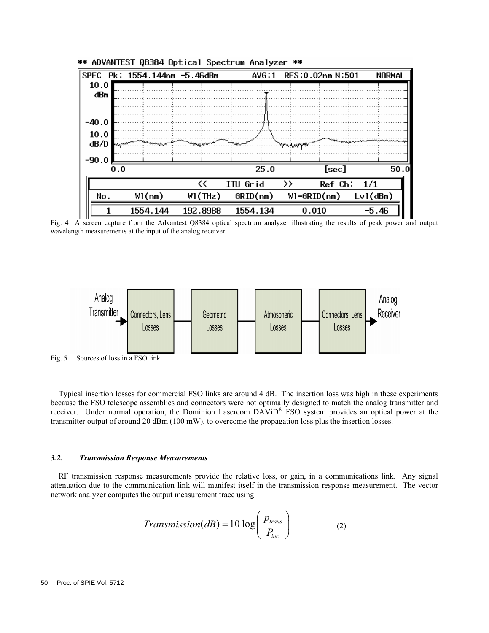

Fig. 4 A screen capture from the Advantest Q8384 optical spectrum analyzer illustrating the results of peak power and output wavelength measurements at the input of the analog receiver.



Fig. 5 Sources of loss in a FSO link.

Typical insertion losses for commercial FSO links are around 4 dB. The insertion loss was high in these experiments because the FSO telescope assemblies and connectors were not optimally designed to match the analog transmitter and receiver. Under normal operation, the Dominion Lasercom DAViD<sup>®</sup> FSO system provides an optical power at the transmitter output of around 20 dBm (100 mW), to overcome the propagation loss plus the insertion losses.

#### *3.2. Transmission Response Measurements*

RF transmission response measurements provide the relative loss, or gain, in a communications link. Any signal attenuation due to the communication link will manifest itself in the transmission response measurement. The vector network analyzer computes the output measurement trace using

$$
Transmission(dB) = 10 \log \left( \frac{p_{trans}}{P_{inc}} \right) \tag{2}
$$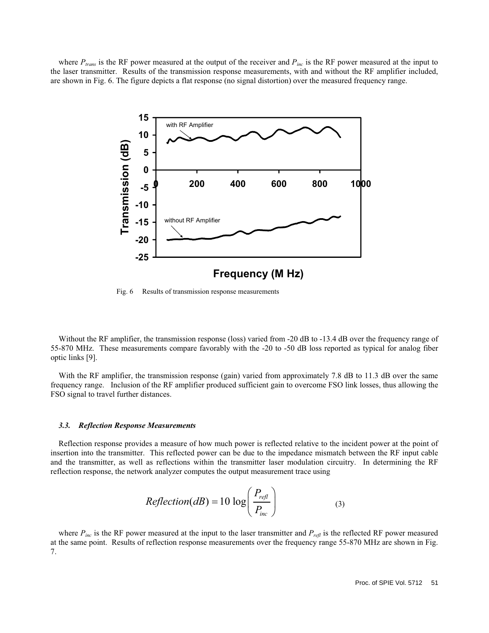where  $P_{trans}$  is the RF power measured at the output of the receiver and  $P_{inc}$  is the RF power measured at the input to the laser transmitter. Results of the transmission response measurements, with and without the RF amplifier included, are shown in Fig. 6. The figure depicts a flat response (no signal distortion) over the measured frequency range.



Fig. 6 Results of transmission response measurements

Without the RF amplifier, the transmission response (loss) varied from -20 dB to -13.4 dB over the frequency range of 55-870 MHz. These measurements compare favorably with the -20 to -50 dB loss reported as typical for analog fiber optic links [9].

With the RF amplifier, the transmission response (gain) varied from approximately 7.8 dB to 11.3 dB over the same frequency range. Inclusion of the RF amplifier produced sufficient gain to overcome FSO link losses, thus allowing the FSO signal to travel further distances.

#### *3.3. Reflection Response Measurements*

Reflection response provides a measure of how much power is reflected relative to the incident power at the point of insertion into the transmitter. This reflected power can be due to the impedance mismatch between the RF input cable and the transmitter, as well as reflections within the transmitter laser modulation circuitry. In determining the RF reflection response, the network analyzer computes the output measurement trace using

$$
Reflection(dB) = 10 \log \left( \frac{P_{refl}}{P_{inc}} \right) \tag{3}
$$

where  $P_{inc}$  is the RF power measured at the input to the laser transmitter and  $P_{refl}$  is the reflected RF power measured at the same point. Results of reflection response measurements over the frequency range 55-870 MHz are shown in Fig. 7.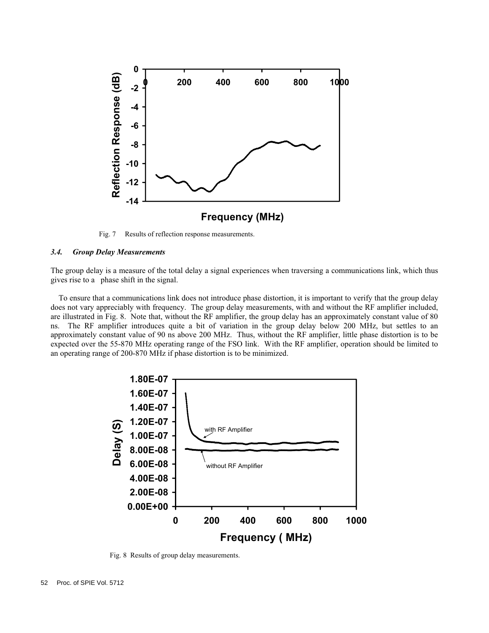

Fig. 7 Results of reflection response measurements.

#### *3.4. Group Delay Measurements*

The group delay is a measure of the total delay a signal experiences when traversing a communications link, which thus gives rise to a phase shift in the signal.

To ensure that a communications link does not introduce phase distortion, it is important to verify that the group delay does not vary appreciably with frequency. The group delay measurements, with and without the RF amplifier included, are illustrated in Fig. 8. Note that, without the RF amplifier, the group delay has an approximately constant value of 80 ns. The RF amplifier introduces quite a bit of variation in the group delay below 200 MHz, but settles to an approximately constant value of 90 ns above 200 MHz. Thus, without the RF amplifier, little phase distortion is to be expected over the 55-870 MHz operating range of the FSO link. With the RF amplifier, operation should be limited to an operating range of 200-870 MHz if phase distortion is to be minimized.



Fig. 8 Results of group delay measurements.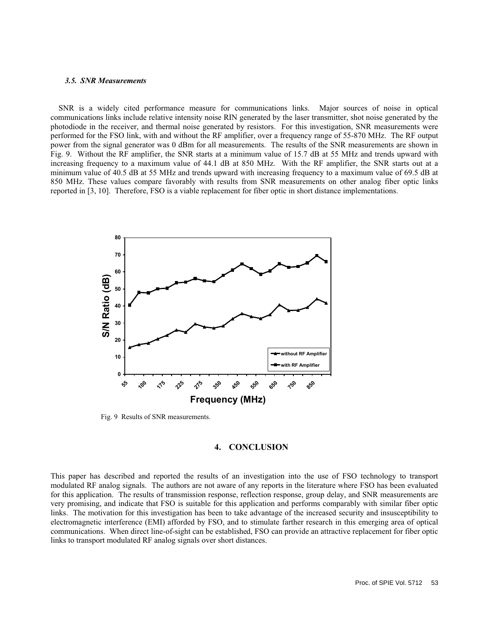#### *3.5. SNR Measurements*

SNR is a widely cited performance measure for communications links. Major sources of noise in optical communications links include relative intensity noise RIN generated by the laser transmitter, shot noise generated by the photodiode in the receiver, and thermal noise generated by resistors. For this investigation, SNR measurements were performed for the FSO link, with and without the RF amplifier, over a frequency range of 55-870 MHz. The RF output power from the signal generator was 0 dBm for all measurements. The results of the SNR measurements are shown in Fig. 9. Without the RF amplifier, the SNR starts at a minimum value of 15.7 dB at 55 MHz and trends upward with increasing frequency to a maximum value of 44.1 dB at 850 MHz. With the RF amplifier, the SNR starts out at a minimum value of 40.5 dB at 55 MHz and trends upward with increasing frequency to a maximum value of 69.5 dB at 850 MHz. These values compare favorably with results from SNR measurements on other analog fiber optic links reported in [3, 10]. Therefore, FSO is a viable replacement for fiber optic in short distance implementations.



Fig. 9 Results of SNR measurements.

# **4. CONCLUSION**

This paper has described and reported the results of an investigation into the use of FSO technology to transport modulated RF analog signals. The authors are not aware of any reports in the literature where FSO has been evaluated for this application. The results of transmission response, reflection response, group delay, and SNR measurements are very promising, and indicate that FSO is suitable for this application and performs comparably with similar fiber optic links. The motivation for this investigation has been to take advantage of the increased security and insusceptibility to electromagnetic interference (EMI) afforded by FSO, and to stimulate farther research in this emerging area of optical communications. When direct line-of-sight can be established, FSO can provide an attractive replacement for fiber optic links to transport modulated RF analog signals over short distances.